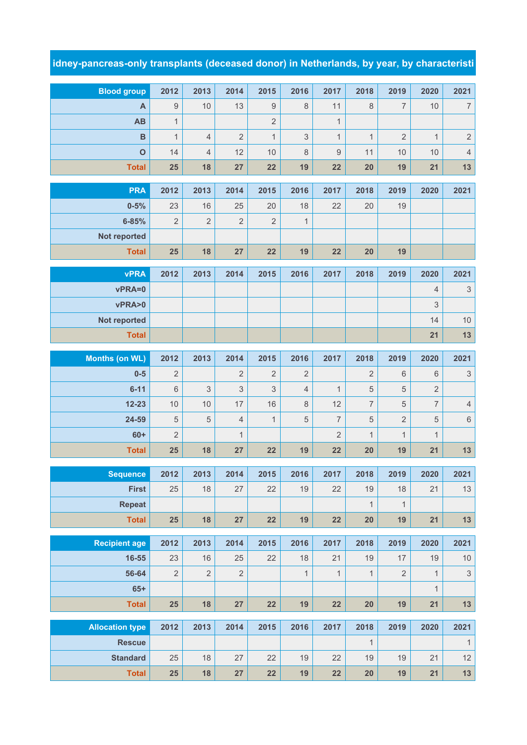## **idney-pancreas-only transplants (deceased donor) in Netherlands, by year, by characteristi**

| <b>Blood group</b>            | 2012           | 2013                      | 2014           | 2015             | 2016           | 2017             | 2018           | 2019           | 2020           | 2021                      |
|-------------------------------|----------------|---------------------------|----------------|------------------|----------------|------------------|----------------|----------------|----------------|---------------------------|
| A                             | 9              | 10                        | 13             | $\boldsymbol{9}$ | 8              | 11               | 8              | $\overline{7}$ | 10             | $\boldsymbol{7}$          |
| <b>AB</b>                     | $\mathbf{1}$   |                           |                | $\overline{2}$   |                | $\mathbf{1}$     |                |                |                |                           |
| B                             | $\mathbf{1}$   | $\overline{4}$            | $\overline{2}$ | $\mathbf{1}$     | 3              | $\mathbf{1}$     | $\mathbf{1}$   | $\overline{2}$ | $\mathbf{1}$   | $\overline{c}$            |
| $\mathbf{o}$                  | 14             | $\overline{4}$            | 12             | 10               | $\,8\,$        | $\boldsymbol{9}$ | 11             | 10             | 10             | $\overline{4}$            |
| <b>Total</b>                  | 25             | 18                        | 27             | 22               | 19             | 22               | 20             | 19             | 21             | 13                        |
| <b>PRA</b>                    | 2012           | 2013                      | 2014           | 2015             | 2016           | 2017             | 2018           | 2019           | 2020           | 2021                      |
| $0 - 5%$                      | 23             | 16                        | 25             | 20               | 18             | 22               | 20             | 19             |                |                           |
| $6 - 85%$                     | $\overline{2}$ | $\overline{2}$            | $\sqrt{2}$     | $\overline{2}$   | $\mathbf{1}$   |                  |                |                |                |                           |
| Not reported                  |                |                           |                |                  |                |                  |                |                |                |                           |
| <b>Total</b>                  | 25             | 18                        | 27             | 22               | 19             | 22               | 20             | 19             |                |                           |
|                               |                |                           |                |                  |                |                  |                |                |                |                           |
| <b>vPRA</b>                   | 2012           | 2013                      | 2014           | 2015             | 2016           | 2017             | 2018           | 2019           | 2020           | 2021                      |
| vPRA=0                        |                |                           |                |                  |                |                  |                |                | $\overline{4}$ | $\ensuremath{\mathsf{3}}$ |
| vPRA>0                        |                |                           |                |                  |                |                  |                |                | 3              |                           |
| Not reported                  |                |                           |                |                  |                |                  |                |                | 14             | $10$                      |
| <b>Total</b>                  |                |                           |                |                  |                |                  |                |                | 21             | 13                        |
| <b>Months (on WL)</b>         | 2012           | 2013                      | 2014           | 2015             | 2016           | 2017             | 2018           | 2019           | 2020           | 2021                      |
| $0-5$                         | 2              |                           | $\overline{2}$ | $\overline{2}$   | $\overline{2}$ |                  | $\overline{2}$ | 6              | 6              | $\ensuremath{\mathsf{3}}$ |
| $6 - 11$                      | $\,6$          | $\ensuremath{\mathsf{3}}$ | 3              | 3                | $\overline{4}$ | $\mathbf{1}$     | $\sqrt{5}$     | $\sqrt{5}$     | $\overline{2}$ |                           |
| $12 - 23$                     | 10             | 10                        | 17             | 16               | $\,8\,$        | 12               | $\overline{7}$ | $\mathbf 5$    | $\overline{7}$ | $\overline{4}$            |
| 24-59                         | 5              | 5                         | $\overline{4}$ | $\mathbf{1}$     | 5              | $\overline{7}$   | $\sqrt{5}$     | $\overline{2}$ | 5              | $\,6\,$                   |
| $60+$                         | $\overline{2}$ |                           | $\mathbf{1}$   |                  |                | $\overline{2}$   | $\mathbf{1}$   | $\mathbf{1}$   | $\mathbf{1}$   |                           |
| <b>Total</b>                  | 25             | 18                        | 27             | 22               | 19             | 22               | 20             | 19             | 21             | 13                        |
| <b>Sequence</b>               | 2012           | 2013                      | 2014           | 2015             | 2016           | 2017             | 2018           | 2019           | 2020           | 2021                      |
| <b>First</b>                  | 25             | 18                        | 27             | 22               | 19             | 22               | 19             | 18             | 21             | 13                        |
| <b>Repeat</b>                 |                |                           |                |                  |                |                  | $\mathbf{1}$   | $\mathbf{1}$   |                |                           |
| <b>Total</b>                  | 25             | 18                        | 27             | 22               | 19             | 22               | 20             | 19             | 21             | $13$                      |
|                               | 2012           |                           | 2014           |                  | 2016           |                  |                |                |                |                           |
| <b>Recipient age</b><br>16-55 | 23             | 2013<br>16                | 25             | 2015<br>22       | 18             | 2017<br>21       | 2018<br>19     | 2019<br>17     | 2020<br>19     | 2021<br>$10$              |
| 56-64                         | $\mathbf{2}$   | $\mathbf{2}$              | $\overline{2}$ |                  | $\mathbf{1}$   | $\mathbf{1}$     | $\mathbf{1}$   | $\sqrt{2}$     | $\mathbf{1}$   | $\ensuremath{\mathsf{3}}$ |
| $65+$                         |                |                           |                |                  |                |                  |                |                | $\mathbf{1}$   |                           |
| <b>Total</b>                  | 25             | 18                        | 27             | 22               | 19             | 22               | 20             | 19             | 21             | 13                        |
|                               |                |                           |                |                  |                |                  |                |                |                |                           |
| <b>Allocation type</b>        | 2012           | 2013                      | 2014           | 2015             | 2016           | 2017             | 2018           | 2019           | 2020           | 2021                      |
| <b>Rescue</b>                 |                |                           |                |                  |                |                  | $\mathbf{1}$   |                |                | $\mathbf{1}$              |
| <b>Standard</b>               | 25             | 18                        | 27             | 22               | 19             | 22               | 19             | 19             | 21             | 12                        |
| <b>Total</b>                  | 25             | 18                        | 27             | 22               | 19             | 22               | 20             | 19             | 21             | $13$                      |